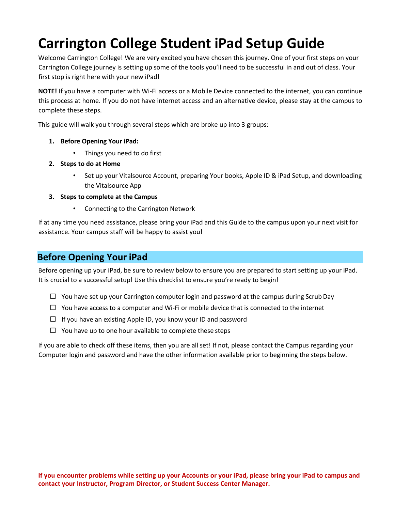# **Carrington College Student iPad Setup Guide**

Welcome Carrington College! We are very excited you have chosen this journey. One of your first steps on your Carrington College journey is setting up some of the tools you'll need to be successful in and out of class. Your first stop is right here with your new iPad!

**NOTE!** If you have a computer with Wi-Fi access or a Mobile Device connected to the internet, you can continue this process at home. If you do not have internet access and an alternative device, please stay at the campus to complete these steps.

This guide will walk you through several steps which are broke up into 3 groups:

- **1. Before Opening Your iPad:**
	- Things you need to do first
- **2. Steps to do at Home**
	- Set up your Vitalsource Account, preparing Your books, Apple ID & iPad Setup, and downloading the Vitalsource App
- **3. Steps to complete at the Campus**
	- Connecting to the Carrington Network

If at any time you need assistance, please bring your iPad and this Guide to the campus upon your next visit for assistance. Your campus staff will be happy to assist you!

### **Before Opening Your iPad**

Before opening up your iPad, be sure to review below to ensure you are prepared to start setting up your iPad. It is crucial to a successful setup! Use this checklist to ensure you're ready to begin!

- $\Box$  You have set up your Carrington computer login and password at the campus during Scrub Day
- $\Box$  You have access to a computer and Wi-Fi or mobile device that is connected to the internet
- $\Box$  If you have an existing Apple ID, you know your ID and password
- $\Box$  You have up to one hour available to complete these steps

If you are able to check off these items, then you are all set! If not, please contact the Campus regarding your Computer login and password and have the other information available prior to beginning the steps below.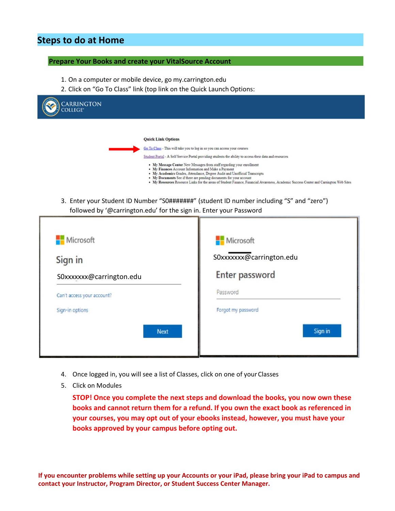## **Steps to do at Home**

#### **Prepare Your Books and create your VitalSource Account**

- 1. On a computer or mobile device, go my.carrington.edu
- 2. Click on "Go To Class" link (top link on the Quick Launch Options:

| CARRINGTON<br><b>OLLEGE®</b> |                                                                                                                                                                                                                                                                                                                                                                                                                            |
|------------------------------|----------------------------------------------------------------------------------------------------------------------------------------------------------------------------------------------------------------------------------------------------------------------------------------------------------------------------------------------------------------------------------------------------------------------------|
|                              | <b>Quick Link Options</b><br>Go To Class - This will take you to log in so you can access your courses<br>Student Portal - A Self Service Portal providing students the ability to access their data and resources                                                                                                                                                                                                         |
|                              | • My Message Center New Messages from staff regarding your enrollment<br>• My Finances Account Information and Make a Payment<br>• My Academics Grades, Attendance, Degree Audit and Unofficial Transcripts<br>• My Documents See if there are pending documents for your account<br>• My Resources Resource Links for the areas of Student Finance, Financial Awareness, Academic Success Center and Carrington Web Sites |
|                              | 3. Enter your Student ID Number "S0#######" (student ID number including "S" and "zero")<br>followed by '@carrington.edu' for the sign in. Enter your Password                                                                                                                                                                                                                                                             |

| Microsoft                  | Microsoft               |
|----------------------------|-------------------------|
| Sign in                    | S0xxxxxx@carrington.edu |
| S0xxxxxx@carrington.edu    | <b>Enter password</b>   |
| Can't access your account? | Password                |
| Sign-in options            | Forgot my password      |
| <b>Next</b>                | Sign in                 |
|                            |                         |

- 4. Once logged in, you will see a list of Classes, click on one of your Classes
- 5. Click on Modules

**STOP! Once you complete the next steps and download the books, you now own these books and cannot return them for a refund. If you own the exact book as referenced in your courses, you may opt out of your ebooks instead, however, you must have your books approved by your campus before opting out.**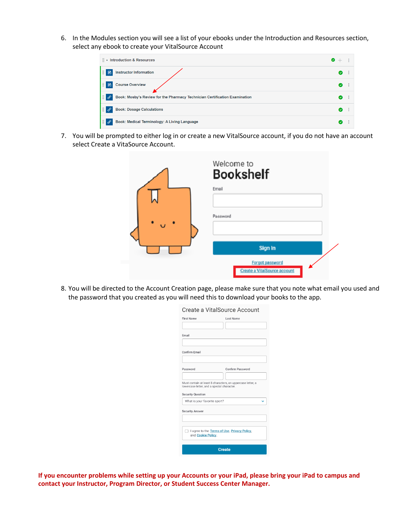6. In the Modules section you will see a list of your ebooks under the Introduction and Resources section, select any ebook to create your VitalSource Account

| $\frac{11}{11}$ $\star$ Introduction & Resources                                                 | $\bullet$ |
|--------------------------------------------------------------------------------------------------|-----------|
| H<br>圕<br><b>Instructor Information</b>                                                          | - 9<br>◙  |
| H<br><b>Course Overview</b><br>圕                                                                 | ◙<br>- 9  |
| H<br>$\mathscr{E}$<br>Book: Mosby's Review for the Pharmacy Technician Certification Examination | ◙<br>- 8  |
| H<br><b>Book: Dosage Calculations</b><br>$\mathscr{E}$                                           | ◙<br>- 3  |
| H<br>$\mathcal{C}$<br>Book: Medical Terminology: A Living Language                               | ◙<br>- 1  |

7. You will be prompted to either log in or create a new VitalSource account, if you do not have an account select Create a VitaSource Account.

| Welcome to<br><b>Bookshelf</b>                  |
|-------------------------------------------------|
| Email                                           |
| Password                                        |
| Sign In                                         |
| Forgot password<br>Create a VitalSource account |

8. You will be directed to the Account Creation page, please make sure that you note what email you used and the password that you created as you will need this to download your books to the app.

| Create a VitalSource Account                                                                             |
|----------------------------------------------------------------------------------------------------------|
| <b>First Name</b><br>Last Name                                                                           |
|                                                                                                          |
| Fmail                                                                                                    |
|                                                                                                          |
| Confirm Email                                                                                            |
|                                                                                                          |
| Confirm Password<br>Password                                                                             |
|                                                                                                          |
| Must contain at least 8 characters, an uppercase letter, a<br>lowercase letter, and a special character. |
| <b>Security Question</b>                                                                                 |
| What is your favorite sport?                                                                             |
| <b>Security Answer</b>                                                                                   |
|                                                                                                          |
| I agree to the Terms of Use, Privacy Policy,<br>and Cookie Policy.                                       |
| <b>Create</b>                                                                                            |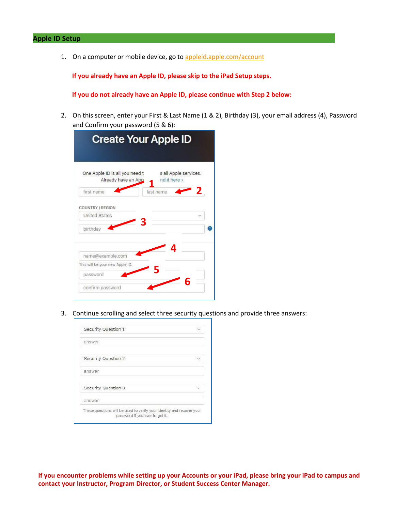1. On a computer or mobile device, go to [appleid.apple.com/account](http://www.appleid.apple.com/account)

**If you already have an Apple ID, please skip to the iPad Setup steps.**

**If you do not already have an Apple ID, please continue with Step 2 below:**

2. On this screen, enter your First & Last Name (1 & 2), Birthday (3), your email address (4), Password and Confirm your password (5 & 6):

| <b>Create Your Apple ID</b>                           |                                       |
|-------------------------------------------------------|---------------------------------------|
| One Apple ID is all you need t<br>Already have an App | s all Apple services.<br>nd it here > |
| first name                                            | last name                             |
| COUNTRY / REGION                                      |                                       |
| <b>United States</b>                                  |                                       |
| birthday                                              |                                       |
|                                                       | 4                                     |
| name@example.com                                      |                                       |
| This will be your new Apple ID.                       |                                       |
| password                                              |                                       |
| confirm password                                      | F                                     |

3. Continue scrolling and select three security questions and provide three answers:

| answer              |  |
|---------------------|--|
| Security Question 2 |  |
| answer              |  |
| Security Question 3 |  |
| answer              |  |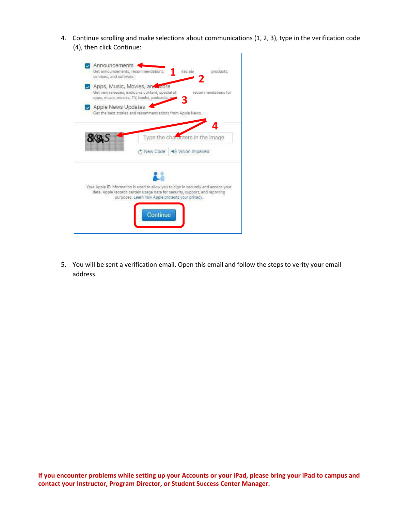4. Continue scrolling and make selections about communications (1, 2, 3), type in the verification code (4), then click Continue:



5. You will be sent a verification email. Open this email and follow the steps to verity your email address.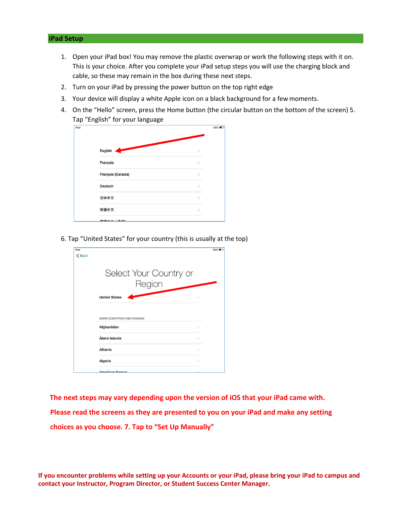#### **iPad Setup**

- 1. Open your iPad box! You may remove the plastic overwrap or work the following steps with it on. This is your choice. After you complete your iPad setup steps you will use the charging block and cable, so these may remain in the box during these next steps.
- 2. Turn on your iPad by pressing the power button on the top right edge
- 3. Your device will display a white Apple icon on a black background for a few moments.
- 4. On the "Hello" screen, press the Home button (the circular button on the bottom of the screen) 5. Tap "English" for your language

| iPad |                   |               | 55% |
|------|-------------------|---------------|-----|
|      |                   |               |     |
|      |                   |               |     |
|      | English           |               |     |
|      |                   |               |     |
|      | Français          | $\mathcal{P}$ |     |
|      | Français (Canada) |               |     |
|      |                   |               |     |
|      | Deutsch           | y             |     |
|      |                   |               |     |
|      | 简体中文              |               |     |
|      | 繁體中文              |               |     |
|      |                   |               |     |
|      | 敏融市立 (禾津)         |               |     |

6. Tap "United States" for your country (this is usually at the top)

| iPad         |                                | 55% |
|--------------|--------------------------------|-----|
| <b>くBack</b> |                                |     |
|              |                                |     |
|              |                                |     |
|              | Select Your Country or         |     |
|              |                                |     |
|              | Region                         |     |
|              |                                |     |
|              | <b>United States</b><br>$\geq$ |     |
|              |                                |     |
|              |                                |     |
|              | MORE COUNTRIES AND REGIONS     |     |
|              |                                |     |
|              | Afghanistan<br>$\mathcal{P}$   |     |
|              |                                |     |
|              | Åland Islands<br>$\mathcal{P}$ |     |
|              | Albania<br>$\mathcal{P}$       |     |
|              |                                |     |
|              | Algeria<br>$\mathcal{P}$       |     |
|              |                                |     |
|              | <b>American Samos</b>          |     |

**The next steps may vary depending upon the version of iOS that your iPad came with. Please read the screens as they are presented to you on your iPad and make any setting choices as you choose. 7. Tap to "Set Up Manually"**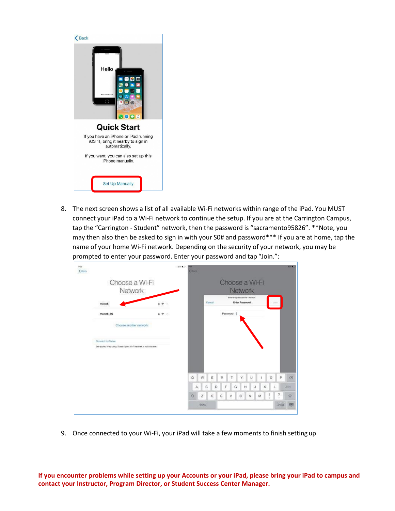

8. The next screen shows a list of all available Wi-Fi networks within range of the iPad. You MUST connect your iPad to a Wi-Fi network to continue the setup. If you are at the Carrington Campus, tap the "Carrington - Student" network, then the password is "sacramento95826". \*\*Note, you may then also then be asked to sign in with your S0# and password\*\*\* If you are at home, tap the name of your home Wi-Fi network. Depending on the security of your network, you may be prompted to enter your password. Enter your password and tap "Join.":

| $\xi$ flaces |                                                                        |      | 294.2      | Course |              |        |                       |                |                                                          |                 |   |         |                              | <b>MAIN</b> |
|--------------|------------------------------------------------------------------------|------|------------|--------|--------------|--------|-----------------------|----------------|----------------------------------------------------------|-----------------|---|---------|------------------------------|-------------|
|              | Choose a Wi-Fi<br>Network                                              |      |            |        |              |        |                       | Choose a Wi-Fi | Network                                                  |                 |   |         |                              |             |
|              | meinck                                                                 |      |            |        |              | Cancel |                       |                | Bette the password for "monoic"<br><b>Enter Password</b> |                 |   |         |                              |             |
|              | meinck 5G                                                              | 29.1 |            |        |              |        |                       | Password       |                                                          |                 |   |         |                              |             |
|              | Choose another network:                                                |      |            |        |              |        |                       |                |                                                          |                 |   |         |                              |             |
|              |                                                                        |      |            |        |              |        |                       |                |                                                          |                 |   |         |                              |             |
|              | Connect to illuses                                                     |      |            |        |              |        |                       |                |                                                          |                 |   |         |                              |             |
|              | Set up your iPad using iTunes it your ith Fi network is not available. |      |            |        |              |        |                       |                |                                                          |                 |   |         |                              |             |
|              |                                                                        |      |            |        |              |        |                       |                |                                                          |                 |   |         |                              |             |
|              |                                                                        |      | $\circ$    |        | W            | Ε      | $\tilde{\mathcal{B}}$ |                | Υ                                                        | U               |   | $\circ$ | p                            | $\odot$     |
|              |                                                                        |      |            | А      | Ś            | D      |                       | G              | н                                                        | J               | κ |         |                              | <b>JOIT</b> |
|              |                                                                        |      | $\Diamond$ |        | $\mathbb{Z}$ | $\chi$ | C                     | V              | $_{\rm B}$<br>٠                                          | $_{\mathrm{N}}$ | M |         | $\overline{\mathbf{r}}$<br>÷ | $\Diamond$  |

9. Once connected to your Wi-Fi, your iPad will take a few moments to finish setting up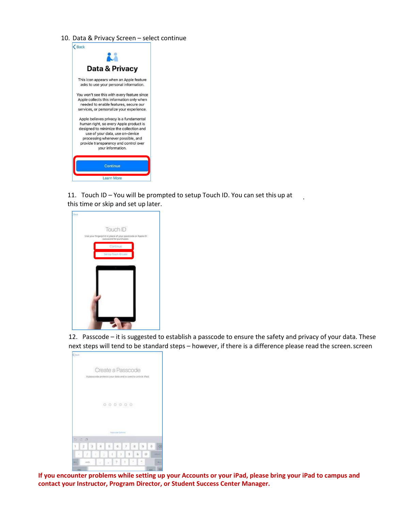10. Data & Privacy Screen – select continue



11. Touch ID – You will be prompted to setup Touch ID. You can set this up at this time or skip and set up later.



12. Passcode – it is suggested to establish a passcode to ensure the safety and privacy of your data. These next steps will tend to be standard steps – however, if there is a difference please read the screen. screen

.

| $rac{1}{2}$                    |                 |          |                   |              |                |             |                                                           |               |   |
|--------------------------------|-----------------|----------|-------------------|--------------|----------------|-------------|-----------------------------------------------------------|---------------|---|
|                                |                 |          | Create a Passcode |              |                |             | A passcode protects your data and is used to unlock iPad. |               |   |
|                                |                 |          |                   |              | 000000         |             |                                                           |               |   |
| ×.<br>$\overline{\phantom{a}}$ | $\circ$ $\circ$ |          |                   |              | PAMOON Dallahy |             |                                                           |               |   |
| 1.                             | $\sqrt{2}$      |          | a.                |              | 5, 6, 7        | 8           | 19                                                        | ö             |   |
| $=$                            |                 | $11 - 1$ |                   | $\ddot{r}$ ( |                | $j$ $s$ $k$ | 500                                                       |               |   |
| 641                            | ianda           |          |                   |              | $x - 3$        | $\sim$      | W.                                                        |               | ٠ |
|                                |                 |          |                   |              |                |             |                                                           | <b>ALMARK</b> | ı |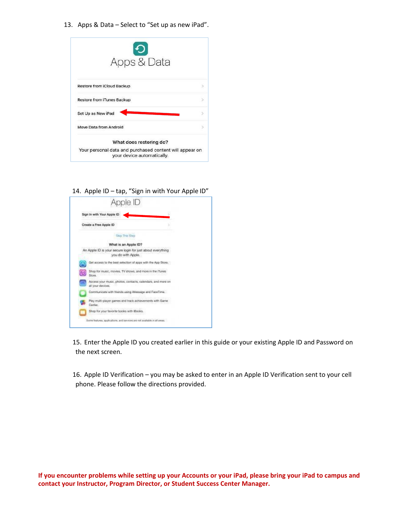13. Apps & Data – Select to "Set up as new iPad".

| Apps & Data                                                                           |  |
|---------------------------------------------------------------------------------------|--|
| <b>Restore from iCloud Backup</b>                                                     |  |
| <b>Restore from iTunes Backup</b>                                                     |  |
| Set Up as New iPad                                                                    |  |
| Move Data from Android                                                                |  |
| What does restoring do?                                                               |  |
| Your personal data and purchased content will appear on<br>your device automatically. |  |

14. Apple ID – tap, "Sign in with Your Apple ID"



15. Enter the Apple ID you created earlier in this guide or your existing Apple ID and Password on the next screen.

16. Apple ID Verification – you may be asked to enter in an Apple ID Verification sent to your cell phone. Please follow the directions provided.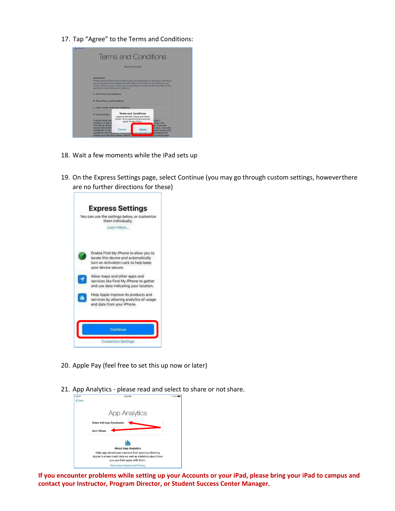17. Tap "Agree" to the Terms and Conditions:

|                                                                                                                                                                                                                                         |        | Send by Email                                                                                                                       |                                                                                         |
|-----------------------------------------------------------------------------------------------------------------------------------------------------------------------------------------------------------------------------------------|--------|-------------------------------------------------------------------------------------------------------------------------------------|-----------------------------------------------------------------------------------------|
| <b>IMPORTANT</b><br>you are agreeing to be bound by the iOS Terms and Conditions. If you choose to use<br>iCloud or Game Center, or both, you are agreeing to be bound by the respective iCloud<br>and Game Center Terms and Conditions |        |                                                                                                                                     | Please read the following terms before using your iOS device. By using your iOS device, |
| A. <i>iOS</i> Terms and Conditions                                                                                                                                                                                                      |        |                                                                                                                                     |                                                                                         |
| <b>B. iCloud Terms and Conditions</b>                                                                                                                                                                                                   |        |                                                                                                                                     |                                                                                         |
| C. Game Center Terms and Conditions                                                                                                                                                                                                     |        |                                                                                                                                     |                                                                                         |
| <b>D. Privacy Policy</b><br><b>PLEASE READ THE</b><br><b>CAREFULLY BEFOL</b>                                                                                                                                                            |        | <b>Terms and Conditions</b><br>I agree to the iOS, iCloud and Game.<br>Center Terms and Conditions and the<br>Apple Privacy Policy. | INSE")<br><b>OING THE</b>                                                               |
| <b>SOFTWARE UPDAT</b><br><b>DEVICE OR DOWNI</b>                                                                                                                                                                                         | Cancel | Agree                                                                                                                               | <b>IG YOUR IOS</b><br><b>CABLE, YOU ARE</b>                                             |

- 18. Wait a few moments while the iPad sets up
- 19. On the Express Settings page, select Continue (you may go through custom settings, howeverthere are no further directions for these)



- 20. Apple Pay (feel free to set this up now or later)
- 21. App Analytics please read and select to share or not share.

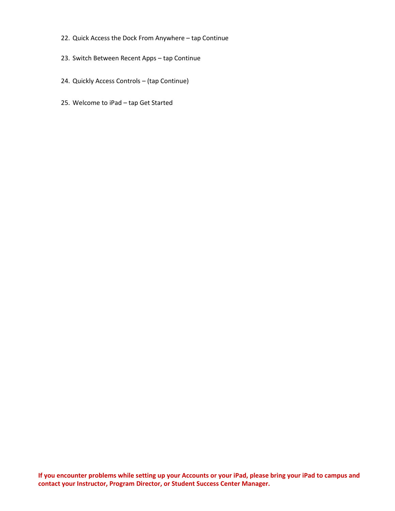- 22. Quick Access the Dock From Anywhere tap Continue
- 23. Switch Between Recent Apps tap Continue
- 24. Quickly Access Controls (tap Continue)
- 25. Welcome to iPad tap Get Started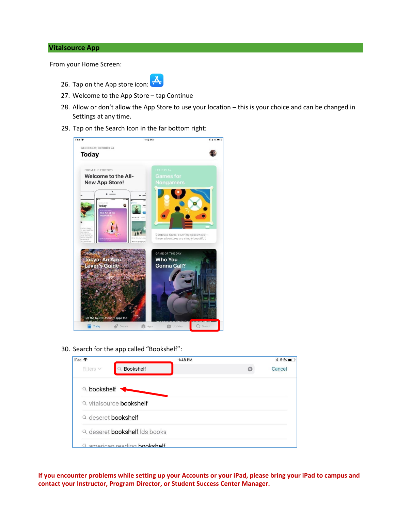#### **Vitalsource App**

From your Home Screen:



- 26. Tap on the App store icon:  $\overline{\mathbf{A}}$
- 27. Welcome to the App Store tap Continue
- 28. Allow or don't allow the App Store to use your location this is your choice and can be changed in Settings at any time.
- 29. Tap on the Search Icon in the far bottom right:



30. Search for the app called "Bookshelf":

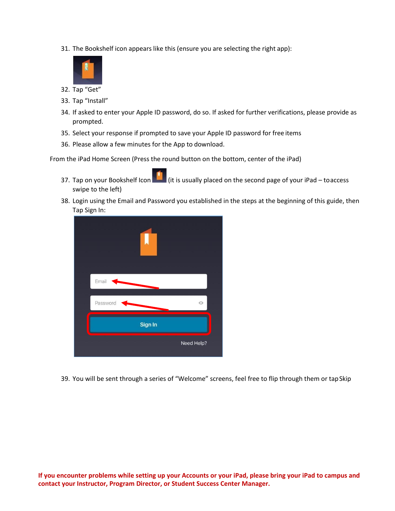31. The Bookshelf icon appears like this (ensure you are selecting the right app):



- 32. Tap "Get"
- 33. Tap "Install"
- 34. If asked to enter your Apple ID password, do so. If asked for further verifications, please provide as prompted.
- 35. Select your response if prompted to save your Apple ID password for free items
- 36. Please allow a few minutes for the App to download.

From the iPad Home Screen (Press the round button on the bottom, center of the iPad)

- 37. Tap on your Bookshelf Icon  $\Box$  (it is usually placed on the second page of your iPad toaccess swipe to the left)
- 38. Login using the Email and Password you established in the steps at the beginning of this guide, then Tap Sign In:



39. You will be sent through a series of "Welcome" screens, feel free to flip through them or tapSkip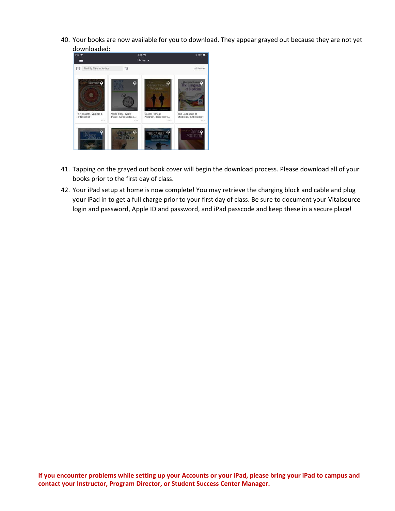40. Your books are now available for you to download. They appear grayed out because they are not yet downloaded:



- 41. Tapping on the grayed out book cover will begin the download process. Please download all of your books prior to the first day of class.
- 42. Your iPad setup at home is now complete! You may retrieve the charging block and cable and plug your iPad in to get a full charge prior to your first day of class. Be sure to document your Vitalsource login and password, Apple ID and password, and iPad passcode and keep these in a secure place!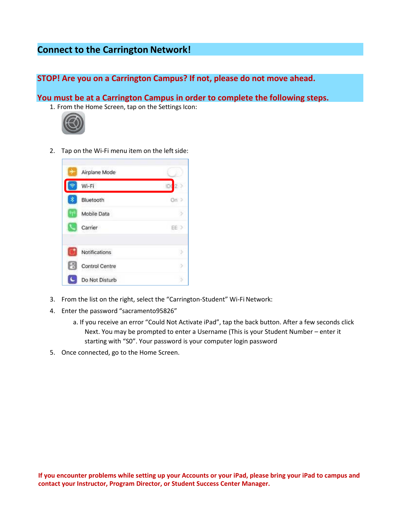## **Connect to the Carrington Network!**

**STOP! Are you on a Carrington Campus? If not, please do not move ahead.**

**You must be at a Carrington Campus in order to complete the following steps.**

1. From the Home Screen, tap on the Settings Icon:



2. Tap on the Wi-Fi menu item on the left side:



- 3. From the list on the right, select the "Carrington-Student" Wi-Fi Network:
- 4. Enter the password "sacramento95826"
	- a. If you receive an error "Could Not Activate iPad", tap the back button. After a few seconds click Next. You may be prompted to enter a Username (This is your Student Number – enter it starting with "S0". Your password is your computer login password
- 5. Once connected, go to the Home Screen.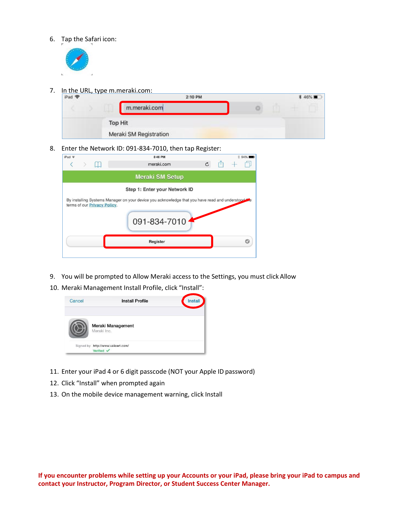6. Tap the Safari icon:



7. In the URL, type m.meraki.com:



8. Enter the Network ID: 091-834-7010, then tap Register:

| $IPad =$ |                                      |          | 8:46 PM<br>meraki.com                                                                                             | $\mathcal{C}$ | 94% |
|----------|--------------------------------------|----------|-------------------------------------------------------------------------------------------------------------------|---------------|-----|
|          |                                      |          | <b>Meraki SM Setup</b>                                                                                            |               |     |
|          |                                      |          | Step 1: Enter your Network ID                                                                                     |               |     |
|          | terms of our <b>Privacy Policy</b> . |          | By installing Systems Manager on your device you acknowledge that you have read and understood to<br>091-834-7010 |               |     |
|          |                                      | Register |                                                                                                                   |               |     |
|          |                                      |          |                                                                                                                   |               |     |

- 9. You will be prompted to Allow Meraki access to the Settings, you must click Allow
- 10. Meraki Management Install Profile, click "Install":



- 11. Enter your iPad 4 or 6 digit passcode (NOT your Apple ID password)
- 12. Click "Install" when prompted again
- 13. On the mobile device management warning, click Install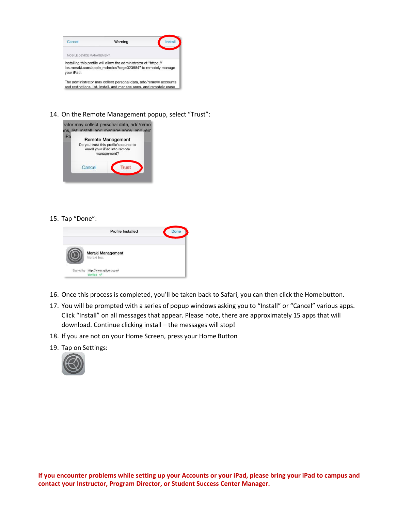

14. On the Remote Management popup, select "Trust":



15. Tap "Done":



- 16. Once this process is completed, you'll be taken back to Safari, you can then click the Homebutton.
- 17. You will be prompted with a series of popup windows asking you to "Install" or "Cancel" various apps. Click "Install" on all messages that appear. Please note, there are approximately 15 apps that will download. Continue clicking install – the messages will stop!
- 18. If you are not on your Home Screen, press your Home Button
- 19. Tap on Settings:

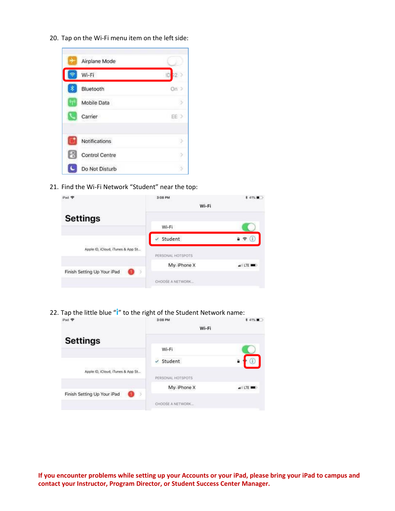20. Tap on the Wi-Fi menu item on the left side:



21. Find the Wi-Fi Network "Student" near the top:

| Pad <sub>®</sub>                  | 3:08 PM<br>Wi-Fi  |                 |
|-----------------------------------|-------------------|-----------------|
| <b>Settings</b>                   | Wi-Fi             |                 |
|                                   | Student           | ÷.              |
| Apple ID, iCloud, iTunes & App St | PERSONAL HOTSPOTS |                 |
| Finish Setting Up Your iPad<br>3  | My: iPhone X      | $\triangle$ LTE |
|                                   | CHOOSE A NETWORK  |                 |

22. Tap the little blue "**i**" to the right of the Student Network name:<br>**Added**